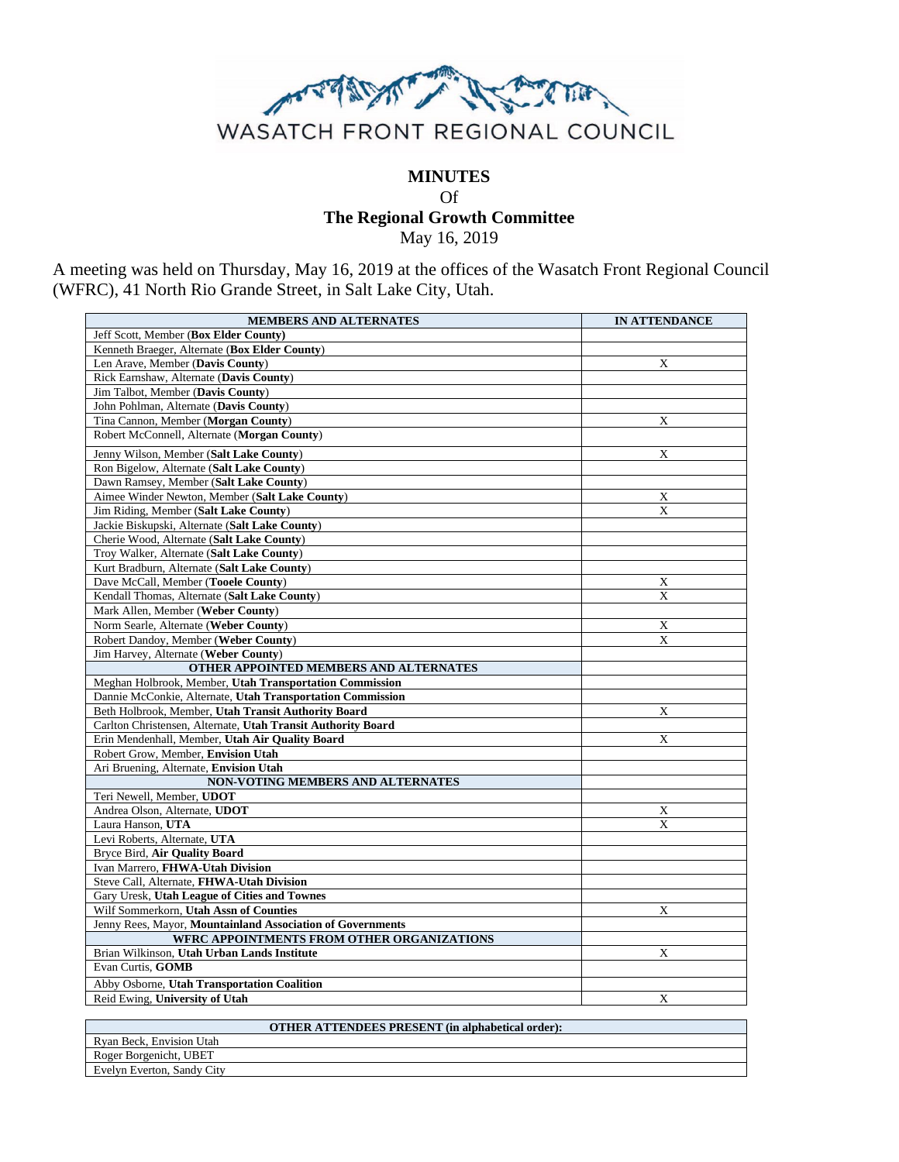

## **MINUTES**

Of **The Regional Growth Committee**

May 16, 2019

A meeting was held on Thursday, May 16, 2019 at the offices of the Wasatch Front Regional Council (WFRC), 41 North Rio Grande Street, in Salt Lake City, Utah.

| Jeff Scott, Member (Box Elder County)<br>Kenneth Braeger, Alternate (Box Elder County)<br>X<br>Len Arave, Member (Davis County)<br>Rick Earnshaw, Alternate (Davis County)<br>Jim Talbot, Member (Davis County)<br>John Pohlman, Alternate (Davis County)<br>Tina Cannon, Member (Morgan County)<br>X<br>Robert McConnell, Alternate (Morgan County)<br>Jenny Wilson, Member (Salt Lake County)<br>X<br>Ron Bigelow, Alternate (Salt Lake County)<br>Dawn Ramsey, Member (Salt Lake County)<br>Aimee Winder Newton, Member (Salt Lake County)<br>X<br>Jim Riding. Member (Salt Lake County)<br>X<br>Jackie Biskupski, Alternate (Salt Lake County)<br>Cherie Wood, Alternate (Salt Lake County)<br>Troy Walker, Alternate (Salt Lake County)<br>Kurt Bradburn, Alternate (Salt Lake County)<br>Dave McCall, Member (Tooele County)<br>X<br>Kendall Thomas, Alternate (Salt Lake County)<br>X<br>Mark Allen, Member (Weber County)<br>Norm Searle, Alternate (Weber County)<br>X<br>Robert Dandoy, Member (Weber County)<br>X<br>Jim Harvey, Alternate (Weber County)<br>OTHER APPOINTED MEMBERS AND ALTERNATES<br>Meghan Holbrook, Member, Utah Transportation Commission<br>Dannie McConkie, Alternate, Utah Transportation Commission<br>Beth Holbrook, Member, Utah Transit Authority Board<br>X<br>Carlton Christensen, Alternate, Utah Transit Authority Board<br>Erin Mendenhall, Member, Utah Air Quality Board<br>X<br>Robert Grow, Member, Envision Utah<br>Ari Bruening, Alternate, Envision Utah<br>NON-VOTING MEMBERS AND ALTERNATES<br>Teri Newell, Member, UDOT<br>Andrea Olson, Alternate, UDOT<br>X<br>Laura Hanson. UTA<br>$\mathbf{x}$<br>Levi Roberts, Alternate, UTA<br>Bryce Bird, Air Quality Board<br>Ivan Marrero, FHWA-Utah Division<br>Steve Call, Alternate, FHWA-Utah Division<br>Gary Uresk, Utah League of Cities and Townes<br>Wilf Sommerkorn, Utah Assn of Counties<br>X<br>Jenny Rees, Mayor, Mountainland Association of Governments<br><b>WFRC APPOINTMENTS FROM OTHER ORGANIZATIONS</b><br>Brian Wilkinson, Utah Urban Lands Institute<br>X<br>Evan Curtis, GOMB<br>Abby Osborne, Utah Transportation Coalition<br>Reid Ewing, University of Utah<br>X | <b>MEMBERS AND ALTERNATES</b> | <b>IN ATTENDANCE</b> |
|---------------------------------------------------------------------------------------------------------------------------------------------------------------------------------------------------------------------------------------------------------------------------------------------------------------------------------------------------------------------------------------------------------------------------------------------------------------------------------------------------------------------------------------------------------------------------------------------------------------------------------------------------------------------------------------------------------------------------------------------------------------------------------------------------------------------------------------------------------------------------------------------------------------------------------------------------------------------------------------------------------------------------------------------------------------------------------------------------------------------------------------------------------------------------------------------------------------------------------------------------------------------------------------------------------------------------------------------------------------------------------------------------------------------------------------------------------------------------------------------------------------------------------------------------------------------------------------------------------------------------------------------------------------------------------------------------------------------------------------------------------------------------------------------------------------------------------------------------------------------------------------------------------------------------------------------------------------------------------------------------------------------------------------------------------------------------------------------------------------------------------------------------------------------------------------------|-------------------------------|----------------------|
|                                                                                                                                                                                                                                                                                                                                                                                                                                                                                                                                                                                                                                                                                                                                                                                                                                                                                                                                                                                                                                                                                                                                                                                                                                                                                                                                                                                                                                                                                                                                                                                                                                                                                                                                                                                                                                                                                                                                                                                                                                                                                                                                                                                             |                               |                      |
|                                                                                                                                                                                                                                                                                                                                                                                                                                                                                                                                                                                                                                                                                                                                                                                                                                                                                                                                                                                                                                                                                                                                                                                                                                                                                                                                                                                                                                                                                                                                                                                                                                                                                                                                                                                                                                                                                                                                                                                                                                                                                                                                                                                             |                               |                      |
|                                                                                                                                                                                                                                                                                                                                                                                                                                                                                                                                                                                                                                                                                                                                                                                                                                                                                                                                                                                                                                                                                                                                                                                                                                                                                                                                                                                                                                                                                                                                                                                                                                                                                                                                                                                                                                                                                                                                                                                                                                                                                                                                                                                             |                               |                      |
|                                                                                                                                                                                                                                                                                                                                                                                                                                                                                                                                                                                                                                                                                                                                                                                                                                                                                                                                                                                                                                                                                                                                                                                                                                                                                                                                                                                                                                                                                                                                                                                                                                                                                                                                                                                                                                                                                                                                                                                                                                                                                                                                                                                             |                               |                      |
|                                                                                                                                                                                                                                                                                                                                                                                                                                                                                                                                                                                                                                                                                                                                                                                                                                                                                                                                                                                                                                                                                                                                                                                                                                                                                                                                                                                                                                                                                                                                                                                                                                                                                                                                                                                                                                                                                                                                                                                                                                                                                                                                                                                             |                               |                      |
|                                                                                                                                                                                                                                                                                                                                                                                                                                                                                                                                                                                                                                                                                                                                                                                                                                                                                                                                                                                                                                                                                                                                                                                                                                                                                                                                                                                                                                                                                                                                                                                                                                                                                                                                                                                                                                                                                                                                                                                                                                                                                                                                                                                             |                               |                      |
|                                                                                                                                                                                                                                                                                                                                                                                                                                                                                                                                                                                                                                                                                                                                                                                                                                                                                                                                                                                                                                                                                                                                                                                                                                                                                                                                                                                                                                                                                                                                                                                                                                                                                                                                                                                                                                                                                                                                                                                                                                                                                                                                                                                             |                               |                      |
|                                                                                                                                                                                                                                                                                                                                                                                                                                                                                                                                                                                                                                                                                                                                                                                                                                                                                                                                                                                                                                                                                                                                                                                                                                                                                                                                                                                                                                                                                                                                                                                                                                                                                                                                                                                                                                                                                                                                                                                                                                                                                                                                                                                             |                               |                      |
|                                                                                                                                                                                                                                                                                                                                                                                                                                                                                                                                                                                                                                                                                                                                                                                                                                                                                                                                                                                                                                                                                                                                                                                                                                                                                                                                                                                                                                                                                                                                                                                                                                                                                                                                                                                                                                                                                                                                                                                                                                                                                                                                                                                             |                               |                      |
|                                                                                                                                                                                                                                                                                                                                                                                                                                                                                                                                                                                                                                                                                                                                                                                                                                                                                                                                                                                                                                                                                                                                                                                                                                                                                                                                                                                                                                                                                                                                                                                                                                                                                                                                                                                                                                                                                                                                                                                                                                                                                                                                                                                             |                               |                      |
|                                                                                                                                                                                                                                                                                                                                                                                                                                                                                                                                                                                                                                                                                                                                                                                                                                                                                                                                                                                                                                                                                                                                                                                                                                                                                                                                                                                                                                                                                                                                                                                                                                                                                                                                                                                                                                                                                                                                                                                                                                                                                                                                                                                             |                               |                      |
|                                                                                                                                                                                                                                                                                                                                                                                                                                                                                                                                                                                                                                                                                                                                                                                                                                                                                                                                                                                                                                                                                                                                                                                                                                                                                                                                                                                                                                                                                                                                                                                                                                                                                                                                                                                                                                                                                                                                                                                                                                                                                                                                                                                             |                               |                      |
|                                                                                                                                                                                                                                                                                                                                                                                                                                                                                                                                                                                                                                                                                                                                                                                                                                                                                                                                                                                                                                                                                                                                                                                                                                                                                                                                                                                                                                                                                                                                                                                                                                                                                                                                                                                                                                                                                                                                                                                                                                                                                                                                                                                             |                               |                      |
|                                                                                                                                                                                                                                                                                                                                                                                                                                                                                                                                                                                                                                                                                                                                                                                                                                                                                                                                                                                                                                                                                                                                                                                                                                                                                                                                                                                                                                                                                                                                                                                                                                                                                                                                                                                                                                                                                                                                                                                                                                                                                                                                                                                             |                               |                      |
|                                                                                                                                                                                                                                                                                                                                                                                                                                                                                                                                                                                                                                                                                                                                                                                                                                                                                                                                                                                                                                                                                                                                                                                                                                                                                                                                                                                                                                                                                                                                                                                                                                                                                                                                                                                                                                                                                                                                                                                                                                                                                                                                                                                             |                               |                      |
|                                                                                                                                                                                                                                                                                                                                                                                                                                                                                                                                                                                                                                                                                                                                                                                                                                                                                                                                                                                                                                                                                                                                                                                                                                                                                                                                                                                                                                                                                                                                                                                                                                                                                                                                                                                                                                                                                                                                                                                                                                                                                                                                                                                             |                               |                      |
|                                                                                                                                                                                                                                                                                                                                                                                                                                                                                                                                                                                                                                                                                                                                                                                                                                                                                                                                                                                                                                                                                                                                                                                                                                                                                                                                                                                                                                                                                                                                                                                                                                                                                                                                                                                                                                                                                                                                                                                                                                                                                                                                                                                             |                               |                      |
|                                                                                                                                                                                                                                                                                                                                                                                                                                                                                                                                                                                                                                                                                                                                                                                                                                                                                                                                                                                                                                                                                                                                                                                                                                                                                                                                                                                                                                                                                                                                                                                                                                                                                                                                                                                                                                                                                                                                                                                                                                                                                                                                                                                             |                               |                      |
|                                                                                                                                                                                                                                                                                                                                                                                                                                                                                                                                                                                                                                                                                                                                                                                                                                                                                                                                                                                                                                                                                                                                                                                                                                                                                                                                                                                                                                                                                                                                                                                                                                                                                                                                                                                                                                                                                                                                                                                                                                                                                                                                                                                             |                               |                      |
|                                                                                                                                                                                                                                                                                                                                                                                                                                                                                                                                                                                                                                                                                                                                                                                                                                                                                                                                                                                                                                                                                                                                                                                                                                                                                                                                                                                                                                                                                                                                                                                                                                                                                                                                                                                                                                                                                                                                                                                                                                                                                                                                                                                             |                               |                      |
|                                                                                                                                                                                                                                                                                                                                                                                                                                                                                                                                                                                                                                                                                                                                                                                                                                                                                                                                                                                                                                                                                                                                                                                                                                                                                                                                                                                                                                                                                                                                                                                                                                                                                                                                                                                                                                                                                                                                                                                                                                                                                                                                                                                             |                               |                      |
|                                                                                                                                                                                                                                                                                                                                                                                                                                                                                                                                                                                                                                                                                                                                                                                                                                                                                                                                                                                                                                                                                                                                                                                                                                                                                                                                                                                                                                                                                                                                                                                                                                                                                                                                                                                                                                                                                                                                                                                                                                                                                                                                                                                             |                               |                      |
|                                                                                                                                                                                                                                                                                                                                                                                                                                                                                                                                                                                                                                                                                                                                                                                                                                                                                                                                                                                                                                                                                                                                                                                                                                                                                                                                                                                                                                                                                                                                                                                                                                                                                                                                                                                                                                                                                                                                                                                                                                                                                                                                                                                             |                               |                      |
|                                                                                                                                                                                                                                                                                                                                                                                                                                                                                                                                                                                                                                                                                                                                                                                                                                                                                                                                                                                                                                                                                                                                                                                                                                                                                                                                                                                                                                                                                                                                                                                                                                                                                                                                                                                                                                                                                                                                                                                                                                                                                                                                                                                             |                               |                      |
|                                                                                                                                                                                                                                                                                                                                                                                                                                                                                                                                                                                                                                                                                                                                                                                                                                                                                                                                                                                                                                                                                                                                                                                                                                                                                                                                                                                                                                                                                                                                                                                                                                                                                                                                                                                                                                                                                                                                                                                                                                                                                                                                                                                             |                               |                      |
|                                                                                                                                                                                                                                                                                                                                                                                                                                                                                                                                                                                                                                                                                                                                                                                                                                                                                                                                                                                                                                                                                                                                                                                                                                                                                                                                                                                                                                                                                                                                                                                                                                                                                                                                                                                                                                                                                                                                                                                                                                                                                                                                                                                             |                               |                      |
|                                                                                                                                                                                                                                                                                                                                                                                                                                                                                                                                                                                                                                                                                                                                                                                                                                                                                                                                                                                                                                                                                                                                                                                                                                                                                                                                                                                                                                                                                                                                                                                                                                                                                                                                                                                                                                                                                                                                                                                                                                                                                                                                                                                             |                               |                      |
|                                                                                                                                                                                                                                                                                                                                                                                                                                                                                                                                                                                                                                                                                                                                                                                                                                                                                                                                                                                                                                                                                                                                                                                                                                                                                                                                                                                                                                                                                                                                                                                                                                                                                                                                                                                                                                                                                                                                                                                                                                                                                                                                                                                             |                               |                      |
|                                                                                                                                                                                                                                                                                                                                                                                                                                                                                                                                                                                                                                                                                                                                                                                                                                                                                                                                                                                                                                                                                                                                                                                                                                                                                                                                                                                                                                                                                                                                                                                                                                                                                                                                                                                                                                                                                                                                                                                                                                                                                                                                                                                             |                               |                      |
|                                                                                                                                                                                                                                                                                                                                                                                                                                                                                                                                                                                                                                                                                                                                                                                                                                                                                                                                                                                                                                                                                                                                                                                                                                                                                                                                                                                                                                                                                                                                                                                                                                                                                                                                                                                                                                                                                                                                                                                                                                                                                                                                                                                             |                               |                      |
|                                                                                                                                                                                                                                                                                                                                                                                                                                                                                                                                                                                                                                                                                                                                                                                                                                                                                                                                                                                                                                                                                                                                                                                                                                                                                                                                                                                                                                                                                                                                                                                                                                                                                                                                                                                                                                                                                                                                                                                                                                                                                                                                                                                             |                               |                      |
|                                                                                                                                                                                                                                                                                                                                                                                                                                                                                                                                                                                                                                                                                                                                                                                                                                                                                                                                                                                                                                                                                                                                                                                                                                                                                                                                                                                                                                                                                                                                                                                                                                                                                                                                                                                                                                                                                                                                                                                                                                                                                                                                                                                             |                               |                      |
|                                                                                                                                                                                                                                                                                                                                                                                                                                                                                                                                                                                                                                                                                                                                                                                                                                                                                                                                                                                                                                                                                                                                                                                                                                                                                                                                                                                                                                                                                                                                                                                                                                                                                                                                                                                                                                                                                                                                                                                                                                                                                                                                                                                             |                               |                      |
|                                                                                                                                                                                                                                                                                                                                                                                                                                                                                                                                                                                                                                                                                                                                                                                                                                                                                                                                                                                                                                                                                                                                                                                                                                                                                                                                                                                                                                                                                                                                                                                                                                                                                                                                                                                                                                                                                                                                                                                                                                                                                                                                                                                             |                               |                      |
|                                                                                                                                                                                                                                                                                                                                                                                                                                                                                                                                                                                                                                                                                                                                                                                                                                                                                                                                                                                                                                                                                                                                                                                                                                                                                                                                                                                                                                                                                                                                                                                                                                                                                                                                                                                                                                                                                                                                                                                                                                                                                                                                                                                             |                               |                      |
|                                                                                                                                                                                                                                                                                                                                                                                                                                                                                                                                                                                                                                                                                                                                                                                                                                                                                                                                                                                                                                                                                                                                                                                                                                                                                                                                                                                                                                                                                                                                                                                                                                                                                                                                                                                                                                                                                                                                                                                                                                                                                                                                                                                             |                               |                      |
|                                                                                                                                                                                                                                                                                                                                                                                                                                                                                                                                                                                                                                                                                                                                                                                                                                                                                                                                                                                                                                                                                                                                                                                                                                                                                                                                                                                                                                                                                                                                                                                                                                                                                                                                                                                                                                                                                                                                                                                                                                                                                                                                                                                             |                               |                      |
|                                                                                                                                                                                                                                                                                                                                                                                                                                                                                                                                                                                                                                                                                                                                                                                                                                                                                                                                                                                                                                                                                                                                                                                                                                                                                                                                                                                                                                                                                                                                                                                                                                                                                                                                                                                                                                                                                                                                                                                                                                                                                                                                                                                             |                               |                      |
|                                                                                                                                                                                                                                                                                                                                                                                                                                                                                                                                                                                                                                                                                                                                                                                                                                                                                                                                                                                                                                                                                                                                                                                                                                                                                                                                                                                                                                                                                                                                                                                                                                                                                                                                                                                                                                                                                                                                                                                                                                                                                                                                                                                             |                               |                      |
|                                                                                                                                                                                                                                                                                                                                                                                                                                                                                                                                                                                                                                                                                                                                                                                                                                                                                                                                                                                                                                                                                                                                                                                                                                                                                                                                                                                                                                                                                                                                                                                                                                                                                                                                                                                                                                                                                                                                                                                                                                                                                                                                                                                             |                               |                      |
|                                                                                                                                                                                                                                                                                                                                                                                                                                                                                                                                                                                                                                                                                                                                                                                                                                                                                                                                                                                                                                                                                                                                                                                                                                                                                                                                                                                                                                                                                                                                                                                                                                                                                                                                                                                                                                                                                                                                                                                                                                                                                                                                                                                             |                               |                      |
|                                                                                                                                                                                                                                                                                                                                                                                                                                                                                                                                                                                                                                                                                                                                                                                                                                                                                                                                                                                                                                                                                                                                                                                                                                                                                                                                                                                                                                                                                                                                                                                                                                                                                                                                                                                                                                                                                                                                                                                                                                                                                                                                                                                             |                               |                      |
|                                                                                                                                                                                                                                                                                                                                                                                                                                                                                                                                                                                                                                                                                                                                                                                                                                                                                                                                                                                                                                                                                                                                                                                                                                                                                                                                                                                                                                                                                                                                                                                                                                                                                                                                                                                                                                                                                                                                                                                                                                                                                                                                                                                             |                               |                      |
|                                                                                                                                                                                                                                                                                                                                                                                                                                                                                                                                                                                                                                                                                                                                                                                                                                                                                                                                                                                                                                                                                                                                                                                                                                                                                                                                                                                                                                                                                                                                                                                                                                                                                                                                                                                                                                                                                                                                                                                                                                                                                                                                                                                             |                               |                      |
|                                                                                                                                                                                                                                                                                                                                                                                                                                                                                                                                                                                                                                                                                                                                                                                                                                                                                                                                                                                                                                                                                                                                                                                                                                                                                                                                                                                                                                                                                                                                                                                                                                                                                                                                                                                                                                                                                                                                                                                                                                                                                                                                                                                             |                               |                      |
|                                                                                                                                                                                                                                                                                                                                                                                                                                                                                                                                                                                                                                                                                                                                                                                                                                                                                                                                                                                                                                                                                                                                                                                                                                                                                                                                                                                                                                                                                                                                                                                                                                                                                                                                                                                                                                                                                                                                                                                                                                                                                                                                                                                             |                               |                      |
|                                                                                                                                                                                                                                                                                                                                                                                                                                                                                                                                                                                                                                                                                                                                                                                                                                                                                                                                                                                                                                                                                                                                                                                                                                                                                                                                                                                                                                                                                                                                                                                                                                                                                                                                                                                                                                                                                                                                                                                                                                                                                                                                                                                             |                               |                      |

| <b>OTHER ATTENDEES PRESENT</b> (in alphabetical order): |  |
|---------------------------------------------------------|--|
| Rvan Beck, Envision Utah                                |  |
| Roger Borgenicht, UBET                                  |  |
| Evelyn Everton, Sandy City                              |  |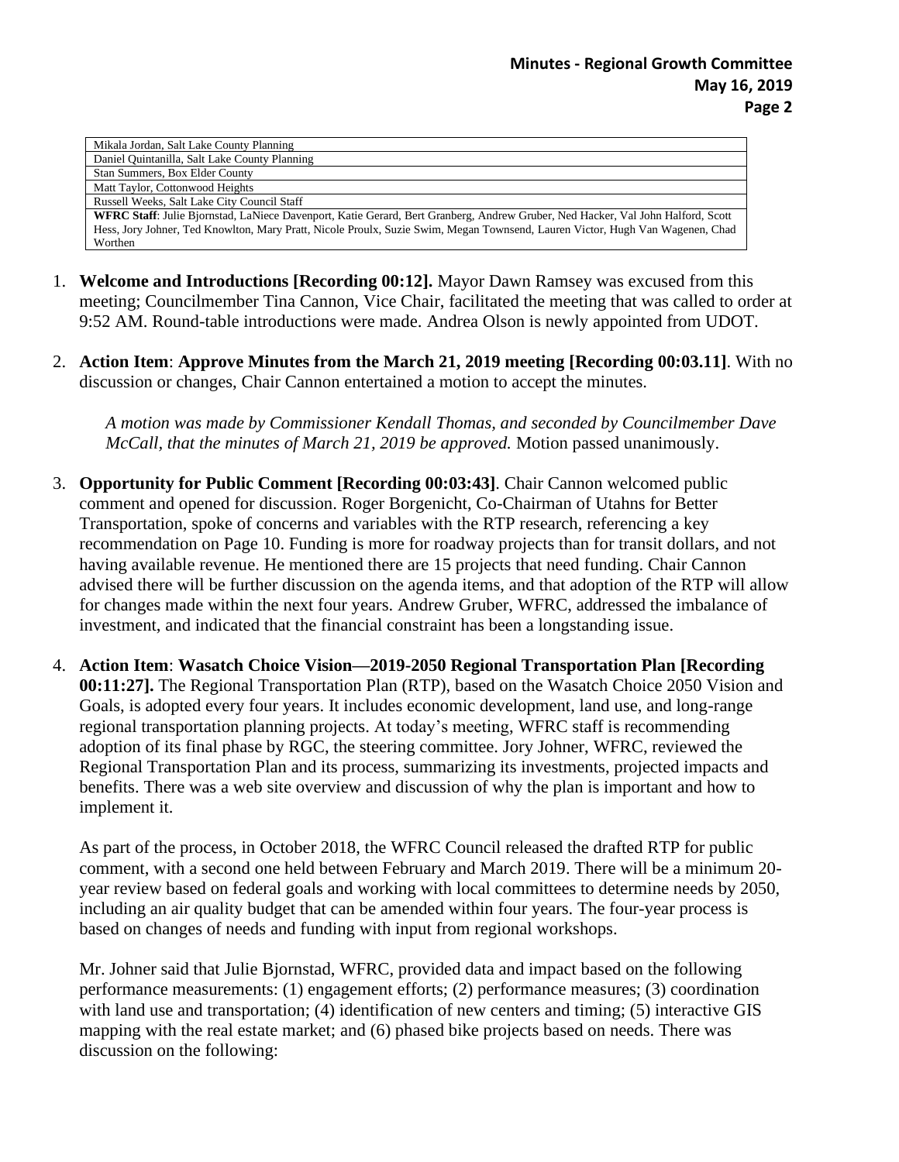## **Minutes - Regional Growth Committee May 16, 2019 Page 2**

| Mikala Jordan, Salt Lake County Planning                                                                                        |
|---------------------------------------------------------------------------------------------------------------------------------|
| Daniel Quintanilla, Salt Lake County Planning                                                                                   |
| Stan Summers, Box Elder County                                                                                                  |
| Matt Taylor, Cottonwood Heights                                                                                                 |
| Russell Weeks, Salt Lake City Council Staff                                                                                     |
| WFRC Staff: Julie Bjornstad, LaNiece Davenport, Katie Gerard, Bert Granberg, Andrew Gruber, Ned Hacker, Val John Halford, Scott |
| Hess, Jory Johner, Ted Knowlton, Mary Pratt, Nicole Proulx, Suzie Swim, Megan Townsend, Lauren Victor, Hugh Van Wagenen, Chad   |
| Worthen                                                                                                                         |

- 1. **Welcome and Introductions [Recording 00:12].** Mayor Dawn Ramsey was excused from this meeting; Councilmember Tina Cannon, Vice Chair, facilitated the meeting that was called to order at 9:52 AM. Round-table introductions were made. Andrea Olson is newly appointed from UDOT.
- 2. **Action Item**: **Approve Minutes from the March 21, 2019 meeting [Recording 00:03.11]**. With no discussion or changes, Chair Cannon entertained a motion to accept the minutes.

*A motion was made by Commissioner Kendall Thomas, and seconded by Councilmember Dave McCall, that the minutes of March 21, 2019 be approved.* Motion passed unanimously.

- 3. **Opportunity for Public Comment [Recording 00:03:43]**. Chair Cannon welcomed public comment and opened for discussion. Roger Borgenicht, Co-Chairman of Utahns for Better Transportation, spoke of concerns and variables with the RTP research, referencing a key recommendation on Page 10. Funding is more for roadway projects than for transit dollars, and not having available revenue. He mentioned there are 15 projects that need funding. Chair Cannon advised there will be further discussion on the agenda items, and that adoption of the RTP will allow for changes made within the next four years. Andrew Gruber, WFRC, addressed the imbalance of investment, and indicated that the financial constraint has been a longstanding issue.
- 4. **Action Item**: **Wasatch Choice Vision—2019-2050 Regional Transportation Plan [Recording 00:11:27].** The Regional Transportation Plan (RTP), based on the Wasatch Choice 2050 Vision and Goals, is adopted every four years. It includes economic development, land use, and long-range regional transportation planning projects. At today's meeting, WFRC staff is recommending adoption of its final phase by RGC, the steering committee. Jory Johner, WFRC, reviewed the Regional Transportation Plan and its process, summarizing its investments, projected impacts and benefits. There was a web site overview and discussion of why the plan is important and how to implement it.

As part of the process, in October 2018, the WFRC Council released the drafted RTP for public comment, with a second one held between February and March 2019. There will be a minimum 20 year review based on federal goals and working with local committees to determine needs by 2050, including an air quality budget that can be amended within four years. The four-year process is based on changes of needs and funding with input from regional workshops.

Mr. Johner said that Julie Bjornstad, WFRC, provided data and impact based on the following performance measurements: (1) engagement efforts; (2) performance measures; (3) coordination with land use and transportation; (4) identification of new centers and timing; (5) interactive GIS mapping with the real estate market; and (6) phased bike projects based on needs. There was discussion on the following: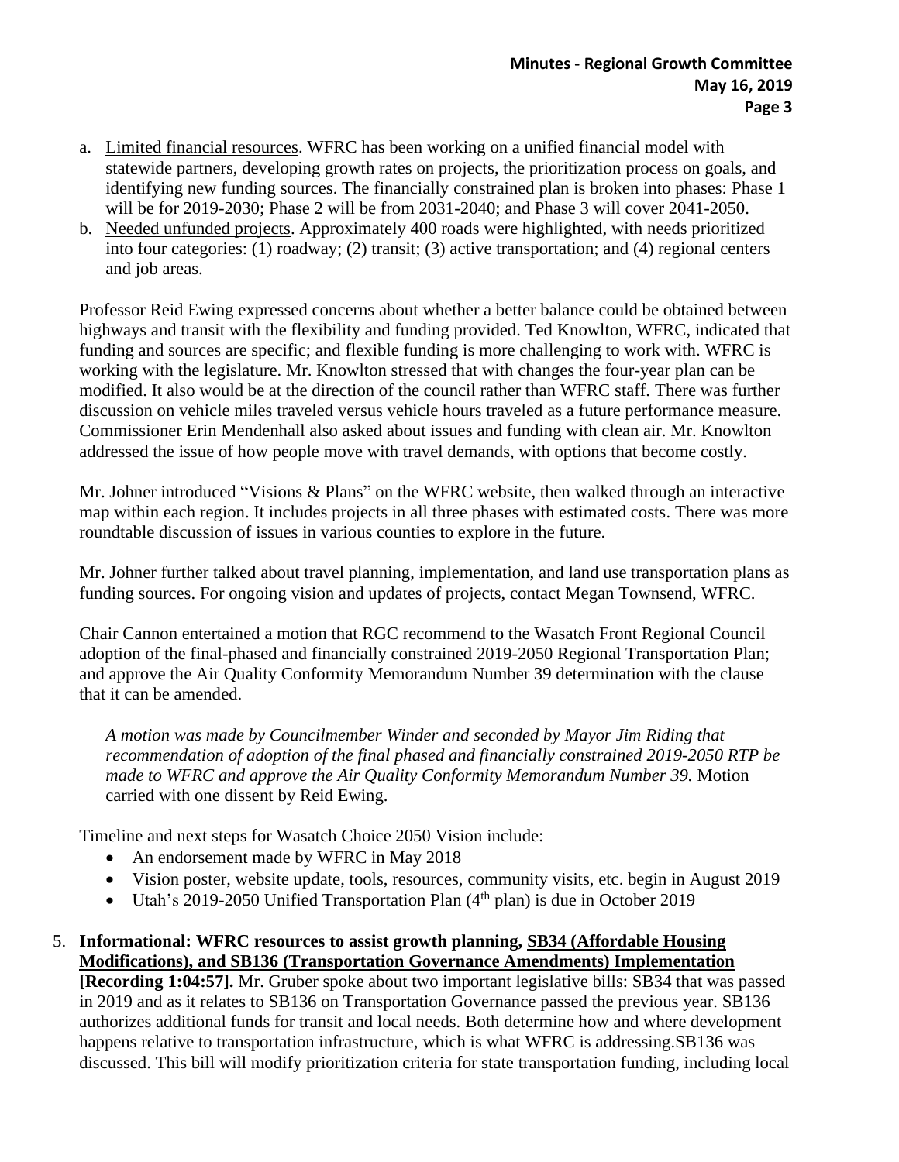- a. Limited financial resources. WFRC has been working on a unified financial model with statewide partners, developing growth rates on projects, the prioritization process on goals, and identifying new funding sources. The financially constrained plan is broken into phases: Phase 1 will be for 2019-2030; Phase 2 will be from 2031-2040; and Phase 3 will cover 2041-2050.
- b. Needed unfunded projects. Approximately 400 roads were highlighted, with needs prioritized into four categories: (1) roadway; (2) transit; (3) active transportation; and (4) regional centers and job areas.

Professor Reid Ewing expressed concerns about whether a better balance could be obtained between highways and transit with the flexibility and funding provided. Ted Knowlton, WFRC, indicated that funding and sources are specific; and flexible funding is more challenging to work with. WFRC is working with the legislature. Mr. Knowlton stressed that with changes the four-year plan can be modified. It also would be at the direction of the council rather than WFRC staff. There was further discussion on vehicle miles traveled versus vehicle hours traveled as a future performance measure. Commissioner Erin Mendenhall also asked about issues and funding with clean air. Mr. Knowlton addressed the issue of how people move with travel demands, with options that become costly.

Mr. Johner introduced "Visions & Plans" on the WFRC website, then walked through an interactive map within each region. It includes projects in all three phases with estimated costs. There was more roundtable discussion of issues in various counties to explore in the future.

Mr. Johner further talked about travel planning, implementation, and land use transportation plans as funding sources. For ongoing vision and updates of projects, contact Megan Townsend, WFRC.

Chair Cannon entertained a motion that RGC recommend to the Wasatch Front Regional Council adoption of the final-phased and financially constrained 2019-2050 Regional Transportation Plan; and approve the Air Quality Conformity Memorandum Number 39 determination with the clause that it can be amended.

*A motion was made by Councilmember Winder and seconded by Mayor Jim Riding that recommendation of adoption of the final phased and financially constrained 2019-2050 RTP be made to WFRC and approve the Air Quality Conformity Memorandum Number 39.* Motion carried with one dissent by Reid Ewing.

Timeline and next steps for Wasatch Choice 2050 Vision include:

- An endorsement made by WFRC in May 2018
- Vision poster, website update, tools, resources, community visits, etc. begin in August 2019
- Utah's 2019-2050 Unified Transportation Plan  $(4<sup>th</sup>$  plan) is due in October 2019

## 5. **Informational: WFRC resources to assist growth planning, SB34 (Affordable Housing Modifications), and SB136 (Transportation Governance Amendments) Implementation**

**[Recording 1:04:57].** Mr. Gruber spoke about two important legislative bills: SB34 that was passed in 2019 and as it relates to SB136 on Transportation Governance passed the previous year. SB136 authorizes additional funds for transit and local needs. Both determine how and where development happens relative to transportation infrastructure, which is what WFRC is addressing.SB136 was discussed. This bill will modify prioritization criteria for state transportation funding, including local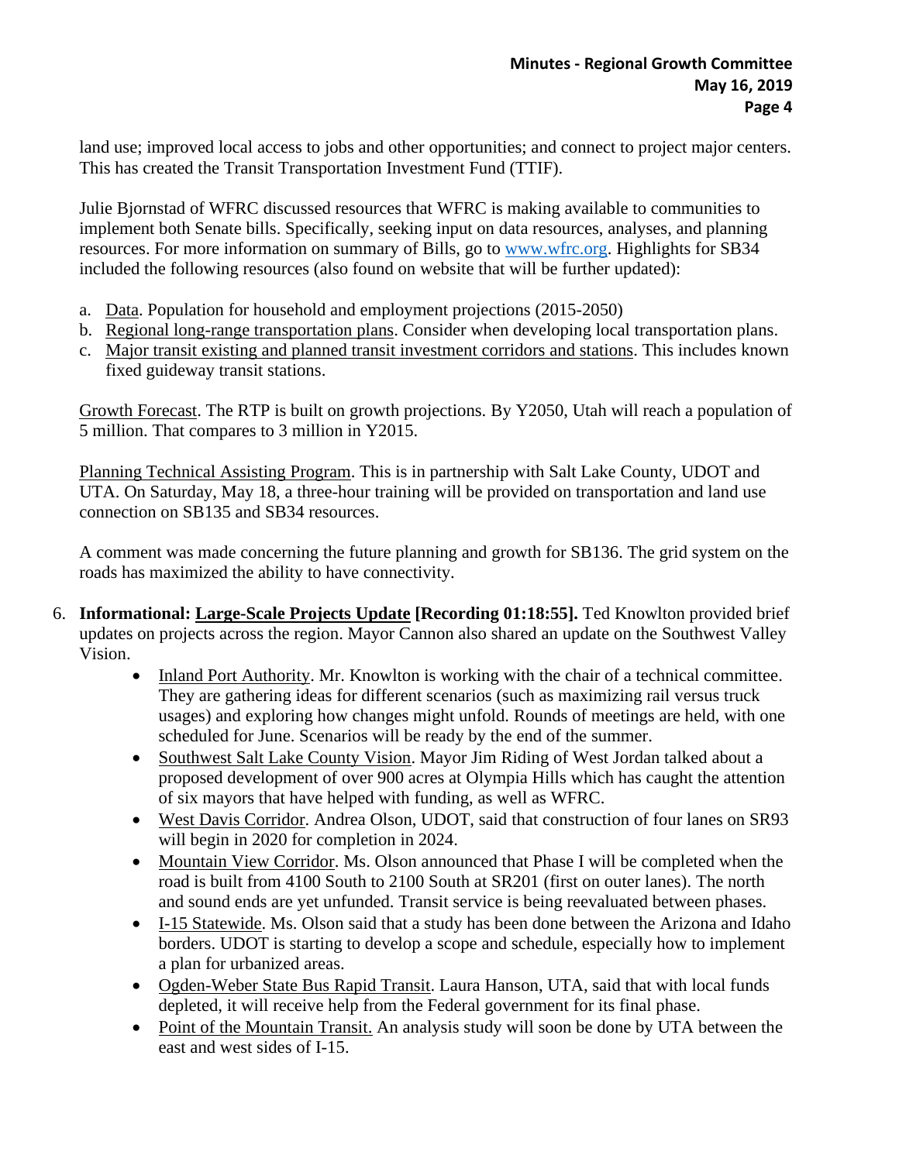land use; improved local access to jobs and other opportunities; and connect to project major centers. This has created the Transit Transportation Investment Fund (TTIF).

Julie Bjornstad of WFRC discussed resources that WFRC is making available to communities to implement both Senate bills. Specifically, seeking input on data resources, analyses, and planning resources. For more information on summary of Bills, go to [www.wfrc.org.](http://www.wfrc.org/) Highlights for SB34 included the following resources (also found on website that will be further updated):

- a. Data. Population for household and employment projections (2015-2050)
- b. Regional long-range transportation plans. Consider when developing local transportation plans.
- c. Major transit existing and planned transit investment corridors and stations. This includes known fixed guideway transit stations.

Growth Forecast. The RTP is built on growth projections. By Y2050, Utah will reach a population of 5 million. That compares to 3 million in Y2015.

Planning Technical Assisting Program. This is in partnership with Salt Lake County, UDOT and UTA. On Saturday, May 18, a three-hour training will be provided on transportation and land use connection on SB135 and SB34 resources.

A comment was made concerning the future planning and growth for SB136. The grid system on the roads has maximized the ability to have connectivity.

- 6. **Informational: Large-Scale Projects Update [Recording 01:18:55].** Ted Knowlton provided brief updates on projects across the region. Mayor Cannon also shared an update on the Southwest Valley Vision.
	- Inland Port Authority. Mr. Knowlton is working with the chair of a technical committee. They are gathering ideas for different scenarios (such as maximizing rail versus truck usages) and exploring how changes might unfold. Rounds of meetings are held, with one scheduled for June. Scenarios will be ready by the end of the summer.
	- Southwest Salt Lake County Vision. Mayor Jim Riding of West Jordan talked about a proposed development of over 900 acres at Olympia Hills which has caught the attention of six mayors that have helped with funding, as well as WFRC.
	- West Davis Corridor. Andrea Olson, UDOT, said that construction of four lanes on SR93 will begin in 2020 for completion in 2024.
	- Mountain View Corridor. Ms. Olson announced that Phase I will be completed when the road is built from 4100 South to 2100 South at SR201 (first on outer lanes). The north and sound ends are yet unfunded. Transit service is being reevaluated between phases.
	- I-15 Statewide. Ms. Olson said that a study has been done between the Arizona and Idaho borders. UDOT is starting to develop a scope and schedule, especially how to implement a plan for urbanized areas.
	- Ogden-Weber State Bus Rapid Transit. Laura Hanson, UTA, said that with local funds depleted, it will receive help from the Federal government for its final phase.
	- Point of the Mountain Transit. An analysis study will soon be done by UTA between the east and west sides of I-15.